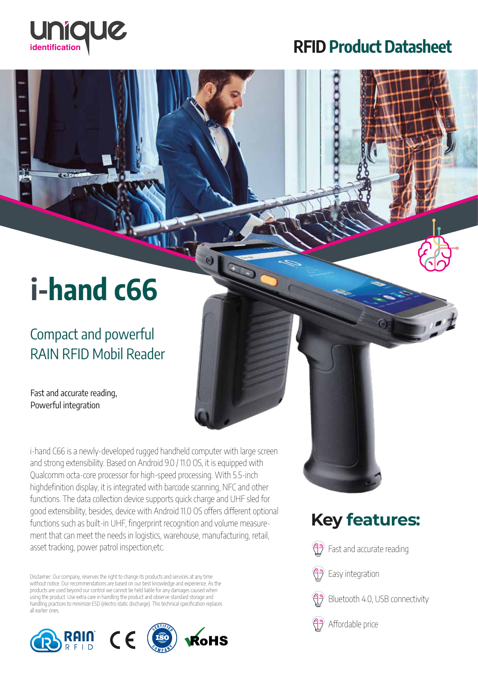

### RFID Product Datasheet

# i-hand c66

### Compact and powerful RAIN RFID Mobil Reader

Fast and accurate reading, Powerful integration

i-hand C66 is a newly-developed rugged handheld computer with large screen and strong extensibility. Based on Android 9.0 / 11.0 OS, it is equipped with Qualcomm octa-core processor for high-speed processing. With 5.5-inch highdefinition display, it is integrated with barcode scanning, NFC and other functions. The data collection device supports quick charge and UHF sled for good extensibility, besides, device with Android 11.0 OS offers different optional functions such as built-in UHF, fingerprint recognition and volume measurement that can meet the needs in logistics, warehouse, manufacturing, retail, asset tracking, power patrol inspection,etc.

G

Disclaimer: Our company, reserves the right to change its products and services at any time without notice. Our recommendations are based on our best knowledge and experience. As the products are used beyond our control we cannot be held liable for any damages caused when using the product. Use extra care in handling the product and observe standard storage and handling practices to minimize ESD (electro static discharge). This technical specification replaces all earlier ones.



## **Key features:**

Fast and accurate reading







Affordable price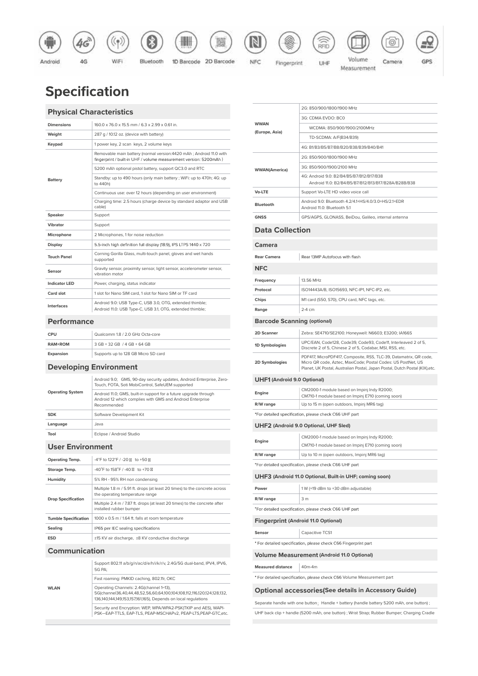

### **Specification**

#### **Physical Characteristics**

| <b>Dimensions</b>    | 160.0 x 76.0 x 15.5 mm / 6.3 x 2.99 x 0.61 in.                                                                                           |
|----------------------|------------------------------------------------------------------------------------------------------------------------------------------|
| Weight               | 287 g / 10.12 oz. (device with battery)                                                                                                  |
| Keypad               | 1 power key, 2 scan keys, 2 volume keys                                                                                                  |
| <b>Battery</b>       | Removable main battery (normal version: 4420 mAh; Android 11.0 with<br>fingerprint / built-in UHF / volume measurement version: 5200mAh) |
|                      | 5200 mAh optional pistol battery, support QC3.0 and RTC                                                                                  |
|                      | Standby: up to 490 hours (only main battery; WiFi: up to 470h; 4G: up<br>to 440h)                                                        |
|                      | Continuous use: over 12 hours (depending on user environment)                                                                            |
|                      | Charging time: 2.5 hours (charge device by standard adaptor and USB<br>cable)                                                            |
| <b>Speaker</b>       | Support                                                                                                                                  |
| Vibrator             | Support                                                                                                                                  |
| Microphone           | 2 Microphones, 1 for noise reduction                                                                                                     |
| <b>Display</b>       | 5.5-inch high definition full display (18:9), IPS LTPS 1440 x 720                                                                        |
| <b>Touch Panel</b>   | Corning Gorilla Glass, multi-touch panel, gloves and wet hands<br>supported                                                              |
| Sensor               | Gravity sensor, proximity sensor, light sensor, accelerometer sensor,<br>vibration motor                                                 |
| <b>Indicator LED</b> | Power, charging, status indicator                                                                                                        |
| Card slot            | 1 slot for Nano SIM card, 1 slot for Nano SIM or TF card                                                                                 |
| Interfaces           | Android 9.0: USB Type-C, USB 3.0, OTG, extended thimble;<br>Android 11.0: USB Type-C, USB 3.1, OTG, extended thimble;                    |

#### **Performance**

| CPU            | Qualcomm 1.8 / 2.0 GHz Octa-core    |
|----------------|-------------------------------------|
| <b>RAM+ROM</b> | 3 GB + 32 GB / 4 GB + 64 GB         |
| Expansion      | Supports up to 128 GB Micro SD card |

#### **Developing Environment**

| <b>Operating System</b> | Android 9.0; GMS, 90-day security updates, Android Enterprise, Zero-<br>Touch, FOTA, Soti MobiControl, SafeUEM supported                     |
|-------------------------|----------------------------------------------------------------------------------------------------------------------------------------------|
|                         | Android 11.0; GMS, built-in support for a future upgrade through<br>Android 12 which complies with GMS and Android Enterprise<br>Recommended |
| <b>SDK</b>              | Software Development Kit                                                                                                                     |
| Language                | .Java                                                                                                                                        |
| Tool                    | Eclipse / Android Studio                                                                                                                     |

#### **User Environment**

| <b>Operating Temp.</b>      | -4°F to 122°F / -20<br>$to +50$                                                                               |
|-----------------------------|---------------------------------------------------------------------------------------------------------------|
| Storage Temp.               | $-40^{\circ}$ F to $158^{\circ}$ F / $-40^{\circ}$<br>to $+70$                                                |
| Humidity                    | 5% RH - 95% RH non condensing                                                                                 |
| <b>Drop Specification</b>   | Multiple 1.8 m / 5.91 ft. drops (at least 20 times) to the concrete across<br>the operating temperature range |
|                             | Multiple 2.4 m / 7.87 ft. drops (at least 20 times) to the concrete after<br>installed rubber bumper          |
| <b>Tumble Specification</b> | 1000 x 0.5 m / 1.64 ft. falls at room temperature                                                             |
| Sealing                     | IP65 per IEC sealing specifications                                                                           |
| <b>ESD</b>                  | ±15 KV air discharge, ±8 KV conductive discharge                                                              |

#### **Communication**

| <b>WLAN</b> | Support 802.11 a/b/q/n/ac/d/e/h/i/k/r/v, 2.4G/5G dual-band, IPV4, IPV6,<br><b>5G PA:</b>                                                                                            |
|-------------|-------------------------------------------------------------------------------------------------------------------------------------------------------------------------------------|
|             | Fast roaming: PMKID caching, 802.11r, OKC                                                                                                                                           |
|             | Operating Channels: 2.4G(channel 1~13),<br>5G(channel36,40,44,48,52,56,60,64,100,104,108,112,116,120,124,128,132,<br>136,140,144,149,153,157,161,165), Depends on local requlations |
|             | Security and Encryption: WEP, WPA/WPA2-PSK(TKIP and AES), WAPI-<br>PSK-EAP-TTLS, EAP-TLS, PEAP-MSCHAPv2, PEAP-LTS, PEAP-GTC, etc.                                                   |

| <b>WWAN</b><br>(Europe, Asia)      | 2G: 850/900/1800/1900 MHz                                                                                                                                                                                         |
|------------------------------------|-------------------------------------------------------------------------------------------------------------------------------------------------------------------------------------------------------------------|
|                                    | 3G: CDMA EVDO: BC0                                                                                                                                                                                                |
|                                    | WCDMA: 850/900/1900/2100MHz                                                                                                                                                                                       |
|                                    | TD-SCDMA: A/F(B34/B39)                                                                                                                                                                                            |
|                                    | 4G: B1/B3/B5/B7/B8/B20/B38/B39/B40/B41                                                                                                                                                                            |
| <b>WWAN(America)</b>               | 2G: 850/900/1800/1900 MHz                                                                                                                                                                                         |
|                                    | 3G: 850/900/1900/2100 MHz                                                                                                                                                                                         |
|                                    | 4G: Android 9.0: B2/B4/B5/B7/B12/B17/B38<br>Android 11.0: B2/B4/B5/B7/B12/B13/B17/B28A/B28B/B38                                                                                                                   |
| <b>Vo-LTE</b>                      | Support Vo-LTE HD video voice call                                                                                                                                                                                |
| Bluetooth                          | Android 9.0: Bluetooth 4.2/4.1+HS/4.0/3.0+HS/2.1+EDR<br>Android 11.0: Bluetooth 5.1                                                                                                                               |
| <b>GNSS</b>                        | GPS/AGPS, GLONASS, BeiDou, Galileo, internal antenna                                                                                                                                                              |
| <b>Data Collection</b>             |                                                                                                                                                                                                                   |
| Camera                             |                                                                                                                                                                                                                   |
| <b>Rear Camera</b>                 | Rear 13MP Autofocus with flash                                                                                                                                                                                    |
|                                    |                                                                                                                                                                                                                   |
| <b>NFC</b>                         |                                                                                                                                                                                                                   |
| Frequency                          | 13.56 MHz                                                                                                                                                                                                         |
| Protocol                           | ISO14443A/B, ISO15693, NFC-IP1, NFC-IP2, etc.                                                                                                                                                                     |
| Chips                              | M1 card (S50, S70), CPU card, NFC tags, etc.                                                                                                                                                                      |
| Range                              | 2-4 cm                                                                                                                                                                                                            |
| <b>Barcode Scanning (optional)</b> |                                                                                                                                                                                                                   |
| 2D Scanner                         | Zebra: SE4710/SE2100; Honeywell: N6603; E3200; IA166S                                                                                                                                                             |
| 1D Symbologies                     | UPC/EAN, Code128, Code39, Code93, Code11, Interleaved 2 of 5,<br>Discrete 2 of 5, Chinese 2 of 5, Codabar, MSI, RSS, etc.                                                                                         |
| 2D Symbologies                     | PDF417, MicroPDF417, Composite, RSS, TLC-39, Datamatrix, QR code,<br>Micro QR code, Aztec, MaxiCode; Postal Codes: US PostNet, US<br>Planet, UK Postal, Australian Postal, Japan Postal, Dutch Postal (KIX), etc. |
| <b>UHF1</b> (Android 9.0 Optional) |                                                                                                                                                                                                                   |
| Engine                             | CM2000-1 module based on Impinj Indy R2000;<br>CM710-1 module based on Impinj E710 (coming soon)                                                                                                                  |
| R/W range                          | Up to 15 m (open outdoors, Impinj MR6 tag)                                                                                                                                                                        |
|                                    | *For detailed specification, please check C66 UHF part                                                                                                                                                            |
|                                    | UHF2 (Android 9.0 Optional, UHF Sled)                                                                                                                                                                             |
| Engine                             | CM2000-1 module based on Impinj Indy R2000;<br>CM710-1 module based on Impinj E710 (coming soon)                                                                                                                  |
| R/W range                          | Up to 10 m (open outdoors, Impinj MR6 tag)                                                                                                                                                                        |
|                                    | *For detailed specification, please check C66 UHF part                                                                                                                                                            |
|                                    | UHF3 (Android 11.0 Optional, Built-in UHF; coming soon)                                                                                                                                                           |
|                                    |                                                                                                                                                                                                                   |
| Power                              | 1 W (+19 dBm to +30 dBm adjustable)                                                                                                                                                                               |
| R/W range                          | 3 m                                                                                                                                                                                                               |
|                                    | *For detailed specification, please check C66 UHF part                                                                                                                                                            |
|                                    | <b>Fingerprint (Android 11.0 Optional)</b>                                                                                                                                                                        |
| Sensor                             | Capacitive TCS1                                                                                                                                                                                                   |
|                                    | * For detailed specification, please check C66 Fingerprint part                                                                                                                                                   |
|                                    | <b>Volume Measurement (Android 11.0 Optional)</b>                                                                                                                                                                 |
| <b>Measured distance</b>           | 40m-4m                                                                                                                                                                                                            |
|                                    | * For detailed specification, please check C66 Volume Measurement part                                                                                                                                            |
|                                    | <b>Optional accessories (See details in Accessory Guide)</b>                                                                                                                                                      |
|                                    | Separate handle with one button; Handle + battery (handle battery 5200 mAh, one button);                                                                                                                          |
|                                    | UHF back clip + handle (5200 mAh, one button) ; Wrist Strap; Rubber Bumper; Charging Cradle                                                                                                                       |